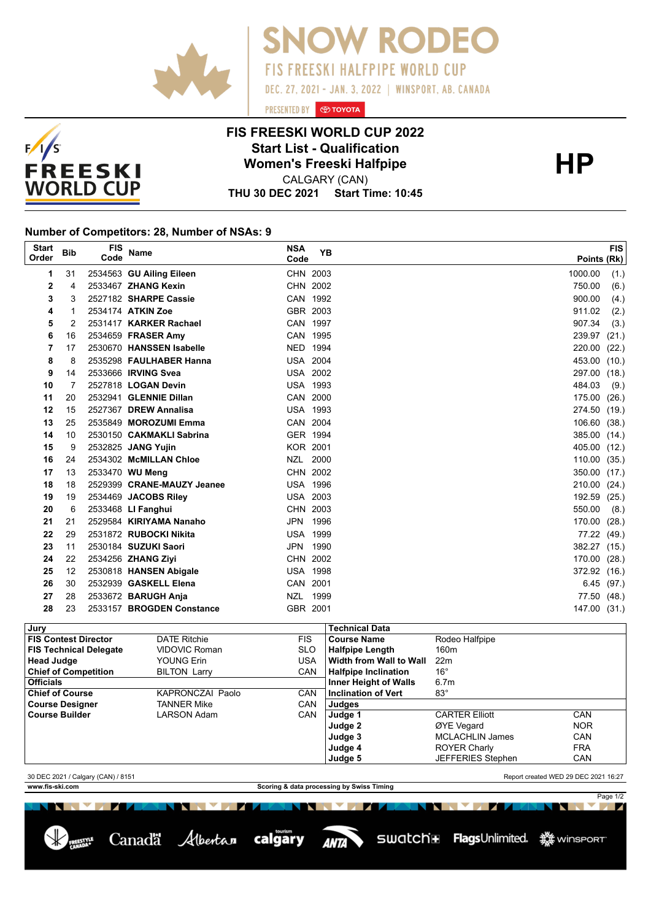



## **FIS FREESKI WORLD CUP 2022 Start List - Qualification<br>
Women's Freeski Halfpipe<br>
CALGARY (CAN)**

PRESENTED BY **O TOYOTA** 

OW RODEO

FIS FREESKI HALFPIPE WORLD CUP

DEC. 27, 2021 - JAN. 3, 2022 | WINSPORT, AB. CANADA

**THU 30 DEC 2021 Start Time: 10:45** CALGARY (CAN)

## **Number of Competitors: 28, Number of NSAs: 9**

| <b>Start</b> | <b>Bib</b> | <b>FIS</b> | <b>Name</b>                | <b>NSA</b> | <b>YB</b>       | <b>FIS</b>      |
|--------------|------------|------------|----------------------------|------------|-----------------|-----------------|
| Order        |            | Code       |                            | Code       |                 | Points (Rk)     |
| 1            | 31         |            | 2534563 GU Ailing Eileen   |            | CHN 2003        | 1000.00<br>(1.) |
| 2            | 4          |            | 2533467 ZHANG Kexin        |            | CHN 2002        | 750.00<br>(6.)  |
| 3            | 3          |            | 2527182 SHARPE Cassie      |            | CAN 1992        | 900.00<br>(4.)  |
| 4            | 1          |            | 2534174 ATKIN Zoe          |            | GBR 2003        | 911.02<br>(2.)  |
| 5            | 2          |            | 2531417 KARKER Rachael     |            | CAN 1997        | 907.34<br>(3.)  |
| 6            | 16         |            | 2534659 FRASER Amy         |            | CAN 1995        | 239.97<br>(21.) |
| 7            | 17         |            | 2530670 HANSSEN Isabelle   |            | NED 1994        | 220.00<br>(22.) |
| 8            | 8          |            | 2535298 FAULHABER Hanna    |            | <b>USA 2004</b> | 453.00<br>(10.) |
| 9            | 14         |            | 2533666 IRVING Svea        |            | <b>USA 2002</b> | 297.00<br>(18.) |
| 10           | 7          |            | 2527818 LOGAN Devin        |            | <b>USA 1993</b> | 484.03<br>(9.)  |
| 11           | 20         |            | 2532941 GLENNIE Dillan     |            | CAN 2000        | 175.00<br>(26.) |
| 12           | 15         |            | 2527367 DREW Annalisa      |            | <b>USA 1993</b> | 274.50<br>(19.) |
| 13           | 25         |            | 2535849 MOROZUMI Emma      |            | CAN 2004        | 106.60<br>(38.) |
| 14           | 10         |            | 2530150 CAKMAKLI Sabrina   |            | GER 1994        | 385.00<br>(14.) |
| 15           | 9          |            | 2532825 JANG Yujin         |            | <b>KOR 2001</b> | 405.00<br>(12.) |
| 16           | 24         |            | 2534302 McMILLAN Chloe     |            | NZL 2000        | 110.00<br>(35.) |
| 17           | 13         |            | 2533470 WU Meng            |            | CHN 2002        | 350.00<br>(17.) |
| 18           | 18         |            | 2529399 CRANE-MAUZY Jeanee |            | <b>USA 1996</b> | 210.00<br>(24.) |
| 19           | 19         |            | 2534469 JACOBS Riley       |            | <b>USA 2003</b> | 192.59<br>(25.) |
| 20           | 6          |            | 2533468 LI Fanghui         |            | CHN 2003        | 550.00<br>(8.)  |
| 21           | 21         |            | 2529584 KIRIYAMA Nanaho    |            | JPN 1996        | 170.00<br>(28.) |
| 22           | 29         |            | 2531872 RUBOCKI Nikita     |            | <b>USA 1999</b> | 77.22<br>(49.)  |
| 23           | 11         |            | 2530184 SUZUKI Saori       |            | JPN 1990        | 382.27 (15.)    |
| 24           | 22         |            | 2534256 ZHANG Ziyi         |            | CHN 2002        | 170.00<br>(28.) |
| 25           | 12         |            | 2530818 HANSEN Abigale     |            | <b>USA 1998</b> | 372.92<br>(16.) |
| 26           | 30         |            | 2532939 GASKELL Elena      | CAN 2001   |                 | 6.45(97.)       |
| 27           | 28         |            | 2533672 BARUGH Anja        |            | NZL 1999        | 77.50<br>(48.)  |
| 28           | 23         |            | 2533157 BROGDEN Constance  | GBR 2001   |                 | 147.00<br>(31.) |

| , Jury                        |                     |            | <b>Technical Data</b>        |                          |            |
|-------------------------------|---------------------|------------|------------------------------|--------------------------|------------|
| <b>FIS Contest Director</b>   | <b>DATE Ritchie</b> | FIS.       | <b>Course Name</b>           | Rodeo Halfpipe           |            |
| <b>FIS Technical Delegate</b> | VIDOVIC Roman       | <b>SLO</b> | <b>Halfpipe Length</b>       | 160 <sub>m</sub>         |            |
| <b>Head Judge</b>             | YOUNG Erin          | USA        | Width from Wall to Wall      | 22m                      |            |
| <b>Chief of Competition</b>   | <b>BILTON Larry</b> | <b>CAN</b> | <b>Halfpipe Inclination</b>  | $16^{\circ}$             |            |
| <b>Officials</b>              |                     |            | <b>Inner Height of Walls</b> | 6.7 <sub>m</sub>         |            |
| <b>Chief of Course</b>        | KAPRONCZAI Paolo    | CAN        | <b>Inclination of Vert</b>   | $83^\circ$               |            |
| <b>Course Designer</b>        | TANNER Mike         | <b>CAN</b> | Judges                       |                          |            |
| <b>Course Builder</b>         | LARSON Adam         | <b>CAN</b> | Judge 1                      | <b>CARTER Elliott</b>    | CAN        |
|                               |                     |            | Judge 2                      | ØYE Vegard               | <b>NOR</b> |
|                               |                     |            | Judge 3                      | <b>MCLACHLIN James</b>   | CAN        |
|                               |                     |            | Judge 4                      | <b>ROYER Charly</b>      | <b>FRA</b> |
|                               |                     |            | Judge 5                      | <b>JEFFERIES Stephen</b> | CAN        |

30 DEC 2021 / Calgary (CAN) / 8151 Report created WED 29 DEC 2021 16:27

NN MAR

Page 1/2

**www.fis-ski.com Scoring & data processing by Swiss Timing**

ANTA

**MARK** 

**NEW YORK** 

Canadä Albertan calgary

 $V \cup$ И